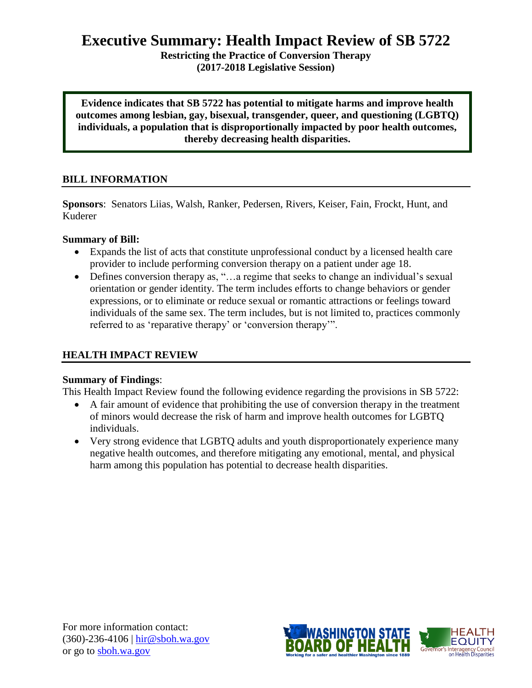# **Executive Summary: Health Impact Review of SB 5722**

**Restricting the Practice of Conversion Therapy (2017-2018 Legislative Session)**

**Evidence indicates that SB 5722 has potential to mitigate harms and improve health outcomes among lesbian, gay, bisexual, transgender, queer, and questioning (LGBTQ) individuals, a population that is disproportionally impacted by poor health outcomes, thereby decreasing health disparities.**

## **BILL INFORMATION**

**Sponsors**: Senators Liias, Walsh, Ranker, Pedersen, Rivers, Keiser, Fain, Frockt, Hunt, and Kuderer

#### **Summary of Bill:**

- Expands the list of acts that constitute unprofessional conduct by a licensed health care provider to include performing conversion therapy on a patient under age 18.
- Defines conversion therapy as, "... a regime that seeks to change an individual's sexual orientation or gender identity. The term includes efforts to change behaviors or gender expressions, or to eliminate or reduce sexual or romantic attractions or feelings toward individuals of the same sex. The term includes, but is not limited to, practices commonly referred to as 'reparative therapy' or 'conversion therapy'".

#### **HEALTH IMPACT REVIEW**

#### **Summary of Findings**:

This Health Impact Review found the following evidence regarding the provisions in SB 5722:

- A fair amount of evidence that prohibiting the use of conversion therapy in the treatment of minors would decrease the risk of harm and improve health outcomes for LGBTQ individuals.
- Very strong evidence that LGBTQ adults and youth disproportionately experience many negative health outcomes, and therefore mitigating any emotional, mental, and physical harm among this population has potential to decrease health disparities.

For more information contact: (360)-236-4106 | [hir@sboh.wa.gov](mailto:hir@sboh.wa.gov) or go to [sboh.wa.gov](http://sboh.wa.gov/)

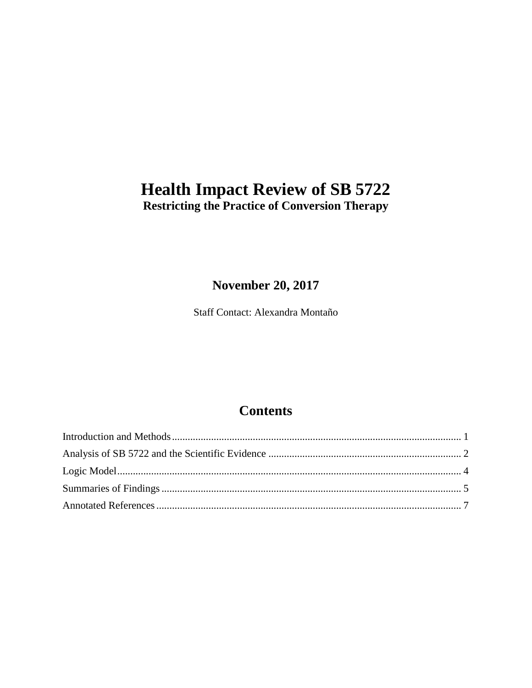# **Health Impact Review of SB 5722 Restricting the Practice of Conversion Therapy**

# **November 20, 2017**

Staff Contact: Alexandra Montaño

# **Contents**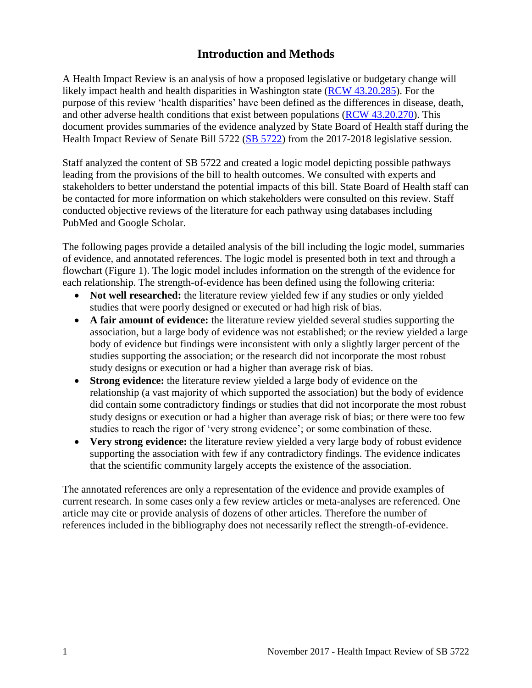# **Introduction and Methods**

<span id="page-2-0"></span>A Health Impact Review is an analysis of how a proposed legislative or budgetary change will likely impact health and health disparities in Washington state [\(RCW 43.20.285\)](http://apps.leg.wa.gov/rcw/default.aspx?cite=43.20.285). For the purpose of this review 'health disparities' have been defined as the differences in disease, death, and other adverse health conditions that exist between populations [\(RCW 43.20.270\)](http://apps.leg.wa.gov/rcw/default.aspx?cite=43.20.270). This document provides summaries of the evidence analyzed by State Board of Health staff during the Health Impact Review of Senate Bill 5722 [\(SB 5722\)](http://lawfilesext.leg.wa.gov/biennium/2017-18/Pdf/Bills/Senate%20Bills/5722.pdf) from the 2017-2018 legislative session.

Staff analyzed the content of SB 5722 and created a logic model depicting possible pathways leading from the provisions of the bill to health outcomes. We consulted with experts and stakeholders to better understand the potential impacts of this bill. State Board of Health staff can be contacted for more information on which stakeholders were consulted on this review. Staff conducted objective reviews of the literature for each pathway using databases including PubMed and Google Scholar.

The following pages provide a detailed analysis of the bill including the logic model, summaries of evidence, and annotated references. The logic model is presented both in text and through a flowchart (Figure 1). The logic model includes information on the strength of the evidence for each relationship. The strength-of-evidence has been defined using the following criteria:

- Not well researched: the literature review yielded few if any studies or only yielded studies that were poorly designed or executed or had high risk of bias.
- **A fair amount of evidence:** the literature review yielded several studies supporting the association, but a large body of evidence was not established; or the review yielded a large body of evidence but findings were inconsistent with only a slightly larger percent of the studies supporting the association; or the research did not incorporate the most robust study designs or execution or had a higher than average risk of bias.
- **Strong evidence:** the literature review yielded a large body of evidence on the relationship (a vast majority of which supported the association) but the body of evidence did contain some contradictory findings or studies that did not incorporate the most robust study designs or execution or had a higher than average risk of bias; or there were too few studies to reach the rigor of 'very strong evidence'; or some combination of these.
- **Very strong evidence:** the literature review yielded a very large body of robust evidence supporting the association with few if any contradictory findings. The evidence indicates that the scientific community largely accepts the existence of the association.

The annotated references are only a representation of the evidence and provide examples of current research. In some cases only a few review articles or meta-analyses are referenced. One article may cite or provide analysis of dozens of other articles. Therefore the number of references included in the bibliography does not necessarily reflect the strength-of-evidence.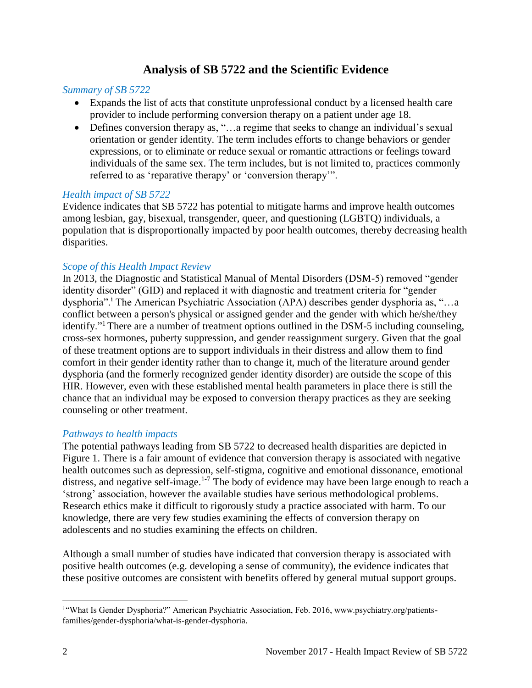## **Analysis of SB 5722 and the Scientific Evidence**

#### <span id="page-3-0"></span>*Summary of SB 5722*

- Expands the list of acts that constitute unprofessional conduct by a licensed health care provider to include performing conversion therapy on a patient under age 18.
- Defines conversion therapy as, "…a regime that seeks to change an individual's sexual orientation or gender identity. The term includes efforts to change behaviors or gender expressions, or to eliminate or reduce sexual or romantic attractions or feelings toward individuals of the same sex. The term includes, but is not limited to, practices commonly referred to as 'reparative therapy' or 'conversion therapy'".

#### *Health impact of SB 5722*

Evidence indicates that SB 5722 has potential to mitigate harms and improve health outcomes among lesbian, gay, bisexual, transgender, queer, and questioning (LGBTQ) individuals, a population that is disproportionally impacted by poor health outcomes, thereby decreasing health disparities.

#### *Scope of this Health Impact Review*

In 2013, the Diagnostic and Statistical Manual of Mental Disorders (DSM-5) removed "gender identity disorder" (GID) and replaced it with diagnostic and treatment criteria for "gender dysphoria".<sup>i</sup> The American Psychiatric Association (APA) describes gender dysphoria as, "...a conflict between a person's physical or assigned gender and the gender with which he/she/they identify."<sup>1</sup> There are a number of treatment options outlined in the DSM-5 including counseling, cross-sex hormones, puberty suppression, and gender reassignment surgery. Given that the goal of these treatment options are to support individuals in their distress and allow them to find comfort in their gender identity rather than to change it, much of the literature around gender dysphoria (and the formerly recognized gender identity disorder) are outside the scope of this HIR. However, even with these established mental health parameters in place there is still the chance that an individual may be exposed to conversion therapy practices as they are seeking counseling or other treatment.

#### *Pathways to health impacts*

The potential pathways leading from SB 5722 to decreased health disparities are depicted in Figure 1. There is a fair amount of evidence that conversion therapy is associated with negative health outcomes such as depression, self-stigma, cognitive and emotional dissonance, emotional distress, and negative self-image.<sup>[1-7](#page-8-1)</sup> The body of evidence may have been large enough to reach a 'strong' association, however the available studies have serious methodological problems. Research ethics make it difficult to rigorously study a practice associated with harm. To our knowledge, there are very few studies examining the effects of conversion therapy on adolescents and no studies examining the effects on children.

Although a small number of studies have indicated that conversion therapy is associated with positive health outcomes (e.g. developing a sense of community), the evidence indicates that these positive outcomes are consistent with benefits offered by general mutual support groups.

l i "What Is Gender Dysphoria?" American Psychiatric Association, Feb. 2016, www.psychiatry.org/patientsfamilies/gender-dysphoria/what-is-gender-dysphoria.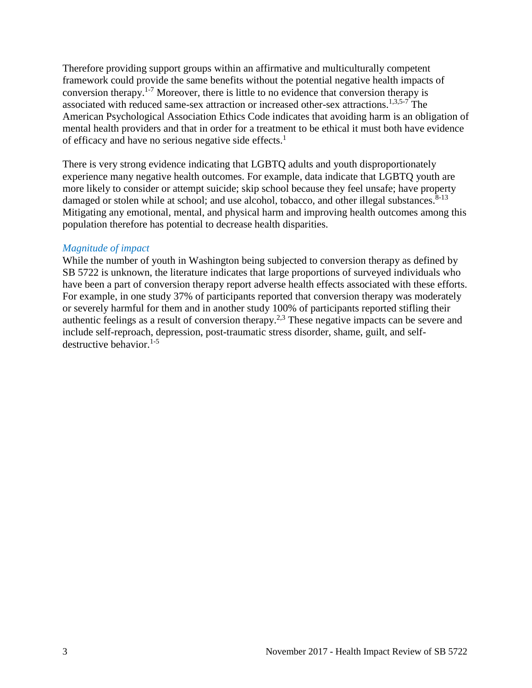Therefore providing support groups within an affirmative and multiculturally competent framework could provide the same benefits without the potential negative health impacts of conversion therapy. [1-7](#page-8-1) Moreover, there is little to no evidence that conversion therapy is associated with reduced same-sex attraction or increased other-sex attractions.<sup>[1,](#page-8-1)[3,](#page-8-2)[5-7](#page-9-0)</sup> The American Psychological Association Ethics Code indicates that avoiding harm is an obligation of mental health providers and that in order for a treatment to be ethical it must both have evidence of efficacy and have no serious negative side effects.<sup>[1](#page-8-1)</sup>

There is very strong evidence indicating that LGBTQ adults and youth disproportionately experience many negative health outcomes. For example, data indicate that LGBTQ youth are more likely to consider or attempt suicide; skip school because they feel unsafe; have property damaged or stolen while at school; and use alcohol, tobacco, and other illegal substances.<sup>[8-13](#page-10-0)</sup> Mitigating any emotional, mental, and physical harm and improving health outcomes among this population therefore has potential to decrease health disparities.

#### *Magnitude of impact*

While the number of youth in Washington being subjected to conversion therapy as defined by SB 5722 is unknown, the literature indicates that large proportions of surveyed individuals who have been a part of conversion therapy report adverse health effects associated with these efforts. For example, in one study 37% of participants reported that conversion therapy was moderately or severely harmful for them and in another study 100% of participants reported stifling their authentic feelings as a result of conversion therapy.<sup>[2,](#page-8-3)[3](#page-8-2)</sup> These negative impacts can be severe and include self-reproach, depression, post-traumatic stress disorder, shame, guilt, and selfdestructive behavior. $1-5$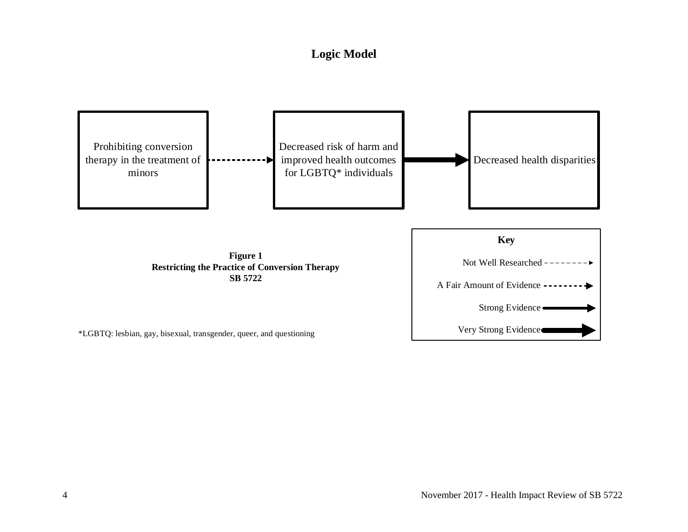# **Logic Model**

<span id="page-5-0"></span>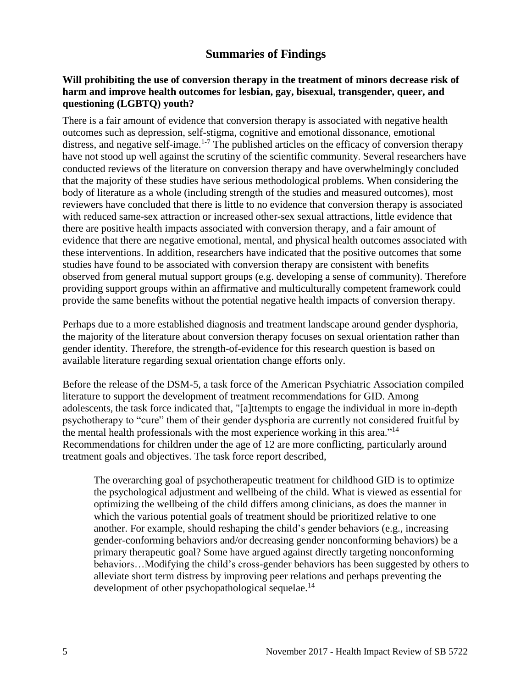## **Summaries of Findings**

#### <span id="page-6-0"></span>**Will prohibiting the use of conversion therapy in the treatment of minors decrease risk of harm and improve health outcomes for lesbian, gay, bisexual, transgender, queer, and questioning (LGBTQ) youth?**

There is a fair amount of evidence that conversion therapy is associated with negative health outcomes such as depression, self-stigma, cognitive and emotional dissonance, emotional distress, and negative self-image.<sup>[1-7](#page-8-1)</sup> The published articles on the efficacy of conversion therapy have not stood up well against the scrutiny of the scientific community. Several researchers have conducted reviews of the literature on conversion therapy and have overwhelmingly concluded that the majority of these studies have serious methodological problems. When considering the body of literature as a whole (including strength of the studies and measured outcomes), most reviewers have concluded that there is little to no evidence that conversion therapy is associated with reduced same-sex attraction or increased other-sex sexual attractions, little evidence that there are positive health impacts associated with conversion therapy, and a fair amount of evidence that there are negative emotional, mental, and physical health outcomes associated with these interventions. In addition, researchers have indicated that the positive outcomes that some studies have found to be associated with conversion therapy are consistent with benefits observed from general mutual support groups (e.g. developing a sense of community). Therefore providing support groups within an affirmative and multiculturally competent framework could provide the same benefits without the potential negative health impacts of conversion therapy.

Perhaps due to a more established diagnosis and treatment landscape around gender dysphoria, the majority of the literature about conversion therapy focuses on sexual orientation rather than gender identity. Therefore, the strength-of-evidence for this research question is based on available literature regarding sexual orientation change efforts only.

Before the release of the DSM-5, a task force of the American Psychiatric Association compiled literature to support the development of treatment recommendations for GID. Among adolescents, the task force indicated that, "[a]ttempts to engage the individual in more in-depth psychotherapy to "cure" them of their gender dysphoria are currently not considered fruitful by the mental health professionals with the most experience working in this area."<sup>[14](#page-12-0)</sup> Recommendations for children under the age of 12 are more conflicting, particularly around treatment goals and objectives. The task force report described,

The overarching goal of psychotherapeutic treatment for childhood GID is to optimize the psychological adjustment and wellbeing of the child. What is viewed as essential for optimizing the wellbeing of the child differs among clinicians, as does the manner in which the various potential goals of treatment should be prioritized relative to one another. For example, should reshaping the child's gender behaviors (e.g., increasing gender-conforming behaviors and/or decreasing gender nonconforming behaviors) be a primary therapeutic goal? Some have argued against directly targeting nonconforming behaviors…Modifying the child's cross-gender behaviors has been suggested by others to alleviate short term distress by improving peer relations and perhaps preventing the development of other psychopathological sequelae.<sup>[14](#page-12-0)</sup>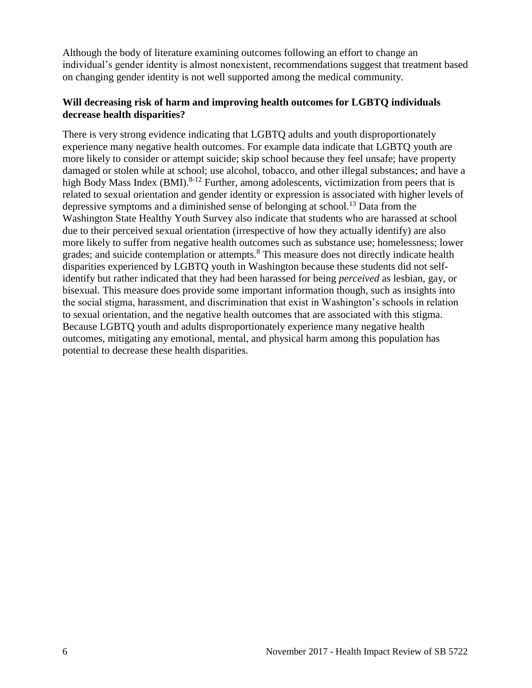Although the body of literature examining outcomes following an effort to change an individual's gender identity is almost nonexistent, recommendations suggest that treatment based on changing gender identity is not well supported among the medical community.

### **Will decreasing risk of harm and improving health outcomes for LGBTQ individuals decrease health disparities?**

There is very strong evidence indicating that LGBTQ adults and youth disproportionately experience many negative health outcomes. For example data indicate that LGBTQ youth are more likely to consider or attempt suicide; skip school because they feel unsafe; have property damaged or stolen while at school; use alcohol, tobacco, and other illegal substances; and have a high Body Mass Index (BMI).<sup>[8-12](#page-10-0)</sup> Further, among adolescents, victimization from peers that is related to sexual orientation and gender identity or expression is associated with higher levels of depressive symptoms and a diminished sense of belonging at school.<sup>[13](#page-12-1)</sup> Data from the Washington State Healthy Youth Survey also indicate that students who are harassed at school due to their perceived sexual orientation (irrespective of how they actually identify) are also more likely to suffer from negative health outcomes such as substance use; homelessness; lower grades; and suicide contemplation or attempts.<sup>[8](#page-10-0)</sup> This measure does not directly indicate health disparities experienced by LGBTQ youth in Washington because these students did not selfidentify but rather indicated that they had been harassed for being *perceived* as lesbian, gay, or bisexual. This measure does provide some important information though, such as insights into the social stigma, harassment, and discrimination that exist in Washington's schools in relation to sexual orientation, and the negative health outcomes that are associated with this stigma. Because LGBTQ youth and adults disproportionately experience many negative health outcomes, mitigating any emotional, mental, and physical harm among this population has potential to decrease these health disparities.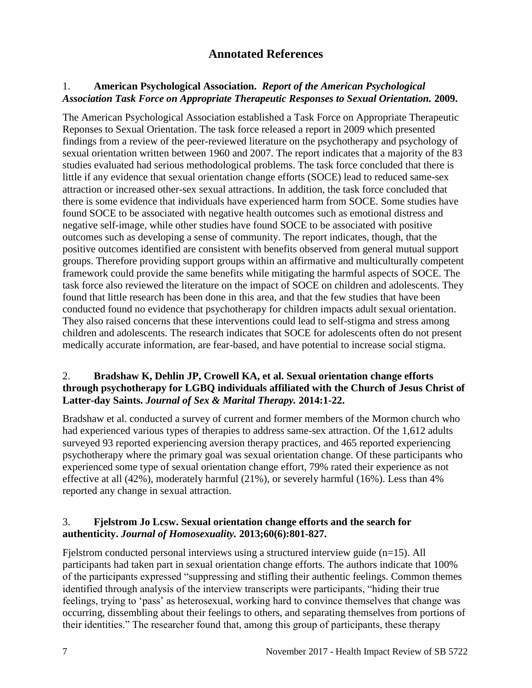## **Annotated References**

## <span id="page-8-1"></span><span id="page-8-0"></span>1. **American Psychological Association.** *Report of the American Psychological Association Task Force on Appropriate Therapeutic Responses to Sexual Orientation.* **2009.**

The American Psychological Association established a Task Force on Appropriate Therapeutic Reponses to Sexual Orientation. The task force released a report in 2009 which presented findings from a review of the peer-reviewed literature on the psychotherapy and psychology of sexual orientation written between 1960 and 2007. The report indicates that a majority of the 83 studies evaluated had serious methodological problems. The task force concluded that there is little if any evidence that sexual orientation change efforts (SOCE) lead to reduced same-sex attraction or increased other-sex sexual attractions. In addition, the task force concluded that there is some evidence that individuals have experienced harm from SOCE. Some studies have found SOCE to be associated with negative health outcomes such as emotional distress and negative self-image, while other studies have found SOCE to be associated with positive outcomes such as developing a sense of community. The report indicates, though, that the positive outcomes identified are consistent with benefits observed from general mutual support groups. Therefore providing support groups within an affirmative and multiculturally competent framework could provide the same benefits while mitigating the harmful aspects of SOCE. The task force also reviewed the literature on the impact of SOCE on children and adolescents. They found that little research has been done in this area, and that the few studies that have been conducted found no evidence that psychotherapy for children impacts adult sexual orientation. They also raised concerns that these interventions could lead to self-stigma and stress among children and adolescents. The research indicates that SOCE for adolescents often do not present medically accurate information, are fear-based, and have potential to increase social stigma.

#### <span id="page-8-3"></span>2. **Bradshaw K, Dehlin JP, Crowell KA, et al. Sexual orientation change efforts through psychotherapy for LGBQ individuals affiliated with the Church of Jesus Christ of Latter-day Saints.** *Journal of Sex & Marital Therapy.* **2014:1-22.**

Bradshaw et al. conducted a survey of current and former members of the Mormon church who had experienced various types of therapies to address same-sex attraction. Of the 1,612 adults surveyed 93 reported experiencing aversion therapy practices, and 465 reported experiencing psychotherapy where the primary goal was sexual orientation change. Of these participants who experienced some type of sexual orientation change effort, 79% rated their experience as not effective at all (42%), moderately harmful (21%), or severely harmful (16%). Less than 4% reported any change in sexual attraction.

## <span id="page-8-2"></span>3. **Fjelstrom Jo Lcsw. Sexual orientation change efforts and the search for authenticity.** *Journal of Homosexuality.* **2013;60(6):801-827.**

Fjelstrom conducted personal interviews using a structured interview guide (n=15). All participants had taken part in sexual orientation change efforts. The authors indicate that 100% of the participants expressed "suppressing and stifling their authentic feelings. Common themes identified through analysis of the interview transcripts were participants, "hiding their true feelings, trying to 'pass' as heterosexual, working hard to convince themselves that change was occurring, dissembling about their feelings to others, and separating themselves from portions of their identities." The researcher found that, among this group of participants, these therapy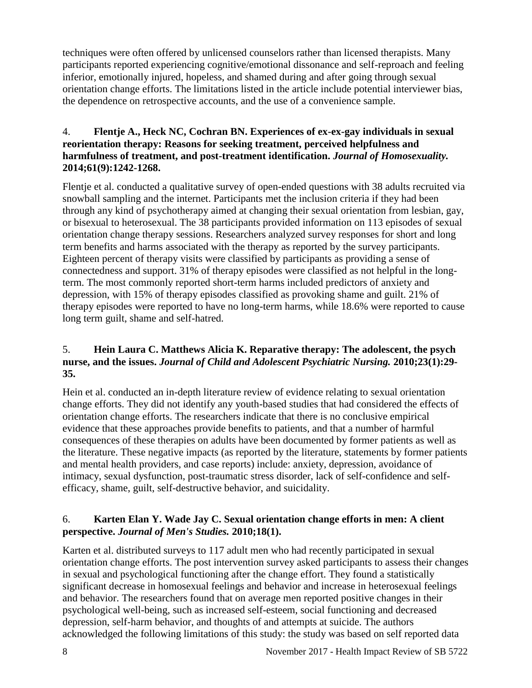techniques were often offered by unlicensed counselors rather than licensed therapists. Many participants reported experiencing cognitive/emotional dissonance and self-reproach and feeling inferior, emotionally injured, hopeless, and shamed during and after going through sexual orientation change efforts. The limitations listed in the article include potential interviewer bias, the dependence on retrospective accounts, and the use of a convenience sample.

### 4. **Flentje A., Heck NC, Cochran BN. Experiences of ex-ex-gay individuals in sexual reorientation therapy: Reasons for seeking treatment, perceived helpfulness and harmfulness of treatment, and post-treatment identification.** *Journal of Homosexuality.*  **2014;61(9):1242-1268.**

Flentje et al. conducted a qualitative survey of open-ended questions with 38 adults recruited via snowball sampling and the internet. Participants met the inclusion criteria if they had been through any kind of psychotherapy aimed at changing their sexual orientation from lesbian, gay, or bisexual to heterosexual. The 38 participants provided information on 113 episodes of sexual orientation change therapy sessions. Researchers analyzed survey responses for short and long term benefits and harms associated with the therapy as reported by the survey participants. Eighteen percent of therapy visits were classified by participants as providing a sense of connectedness and support. 31% of therapy episodes were classified as not helpful in the longterm. The most commonly reported short-term harms included predictors of anxiety and depression, with 15% of therapy episodes classified as provoking shame and guilt. 21% of therapy episodes were reported to have no long-term harms, while 18.6% were reported to cause long term guilt, shame and self-hatred.

## <span id="page-9-0"></span>5. **Hein Laura C. Matthews Alicia K. Reparative therapy: The adolescent, the psych nurse, and the issues.** *Journal of Child and Adolescent Psychiatric Nursing.* **2010;23(1):29- 35.**

Hein et al. conducted an in-depth literature review of evidence relating to sexual orientation change efforts. They did not identify any youth-based studies that had considered the effects of orientation change efforts. The researchers indicate that there is no conclusive empirical evidence that these approaches provide benefits to patients, and that a number of harmful consequences of these therapies on adults have been documented by former patients as well as the literature. These negative impacts (as reported by the literature, statements by former patients and mental health providers, and case reports) include: anxiety, depression, avoidance of intimacy, sexual dysfunction, post-traumatic stress disorder, lack of self-confidence and selfefficacy, shame, guilt, self-destructive behavior, and suicidality.

## 6. **Karten Elan Y. Wade Jay C. Sexual orientation change efforts in men: A client perspective.** *Journal of Men's Studies.* **2010;18(1).**

Karten et al. distributed surveys to 117 adult men who had recently participated in sexual orientation change efforts. The post intervention survey asked participants to assess their changes in sexual and psychological functioning after the change effort. They found a statistically significant decrease in homosexual feelings and behavior and increase in heterosexual feelings and behavior. The researchers found that on average men reported positive changes in their psychological well-being, such as increased self-esteem, social functioning and decreased depression, self-harm behavior, and thoughts of and attempts at suicide. The authors acknowledged the following limitations of this study: the study was based on self reported data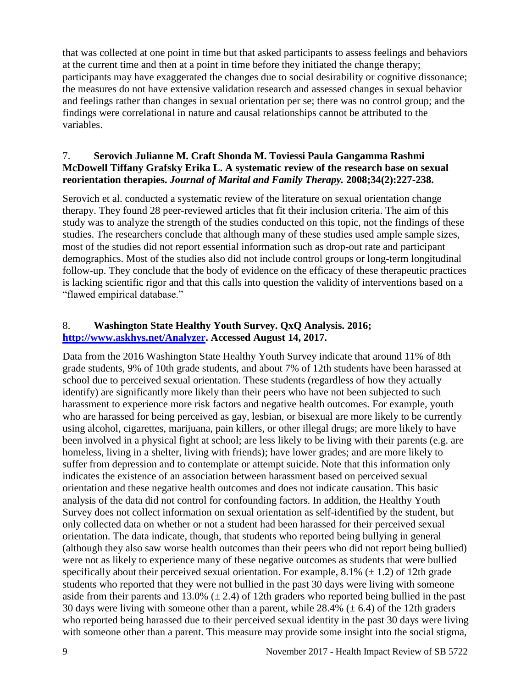that was collected at one point in time but that asked participants to assess feelings and behaviors at the current time and then at a point in time before they initiated the change therapy; participants may have exaggerated the changes due to social desirability or cognitive dissonance; the measures do not have extensive validation research and assessed changes in sexual behavior and feelings rather than changes in sexual orientation per se; there was no control group; and the findings were correlational in nature and causal relationships cannot be attributed to the variables.

#### 7. **Serovich Julianne M. Craft Shonda M. Toviessi Paula Gangamma Rashmi McDowell Tiffany Grafsky Erika L. A systematic review of the research base on sexual reorientation therapies.** *Journal of Marital and Family Therapy.* **2008;34(2):227-238.**

Serovich et al. conducted a systematic review of the literature on sexual orientation change therapy. They found 28 peer-reviewed articles that fit their inclusion criteria. The aim of this study was to analyze the strength of the studies conducted on this topic, not the findings of these studies. The researchers conclude that although many of these studies used ample sample sizes, most of the studies did not report essential information such as drop-out rate and participant demographics. Most of the studies also did not include control groups or long-term longitudinal follow-up. They conclude that the body of evidence on the efficacy of these therapeutic practices is lacking scientific rigor and that this calls into question the validity of interventions based on a "flawed empirical database."

### <span id="page-10-0"></span>8. **Washington State Healthy Youth Survey. QxQ Analysis. 2016; [http://www.askhys.net/Analyzer.](http://www.askhys.net/Analyzer) Accessed August 14, 2017.**

Data from the 2016 Washington State Healthy Youth Survey indicate that around 11% of 8th grade students, 9% of 10th grade students, and about 7% of 12th students have been harassed at school due to perceived sexual orientation. These students (regardless of how they actually identify) are significantly more likely than their peers who have not been subjected to such harassment to experience more risk factors and negative health outcomes. For example, youth who are harassed for being perceived as gay, lesbian, or bisexual are more likely to be currently using alcohol, cigarettes, marijuana, pain killers, or other illegal drugs; are more likely to have been involved in a physical fight at school; are less likely to be living with their parents (e.g. are homeless, living in a shelter, living with friends); have lower grades; and are more likely to suffer from depression and to contemplate or attempt suicide. Note that this information only indicates the existence of an association between harassment based on perceived sexual orientation and these negative health outcomes and does not indicate causation. This basic analysis of the data did not control for confounding factors. In addition, the Healthy Youth Survey does not collect information on sexual orientation as self-identified by the student, but only collected data on whether or not a student had been harassed for their perceived sexual orientation. The data indicate, though, that students who reported being bullying in general (although they also saw worse health outcomes than their peers who did not report being bullied) were not as likely to experience many of these negative outcomes as students that were bullied specifically about their perceived sexual orientation. For example,  $8.1\%$  ( $\pm$  1.2) of 12th grade students who reported that they were not bullied in the past 30 days were living with someone aside from their parents and 13.0%  $(\pm 2.4)$  of 12th graders who reported being bullied in the past 30 days were living with someone other than a parent, while  $28.4\%$  ( $\pm$  6.4) of the 12th graders who reported being harassed due to their perceived sexual identity in the past 30 days were living with someone other than a parent. This measure may provide some insight into the social stigma,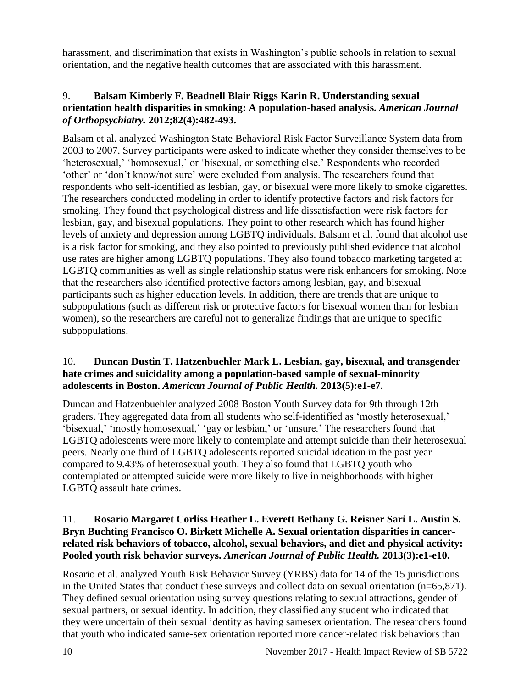harassment, and discrimination that exists in Washington's public schools in relation to sexual orientation, and the negative health outcomes that are associated with this harassment.

#### 9. **Balsam Kimberly F. Beadnell Blair Riggs Karin R. Understanding sexual orientation health disparities in smoking: A population-based analysis.** *American Journal of Orthopsychiatry.* **2012;82(4):482-493.**

Balsam et al. analyzed Washington State Behavioral Risk Factor Surveillance System data from 2003 to 2007. Survey participants were asked to indicate whether they consider themselves to be 'heterosexual,' 'homosexual,' or 'bisexual, or something else.' Respondents who recorded 'other' or 'don't know/not sure' were excluded from analysis. The researchers found that respondents who self-identified as lesbian, gay, or bisexual were more likely to smoke cigarettes. The researchers conducted modeling in order to identify protective factors and risk factors for smoking. They found that psychological distress and life dissatisfaction were risk factors for lesbian, gay, and bisexual populations. They point to other research which has found higher levels of anxiety and depression among LGBTQ individuals. Balsam et al. found that alcohol use is a risk factor for smoking, and they also pointed to previously published evidence that alcohol use rates are higher among LGBTQ populations. They also found tobacco marketing targeted at LGBTQ communities as well as single relationship status were risk enhancers for smoking. Note that the researchers also identified protective factors among lesbian, gay, and bisexual participants such as higher education levels. In addition, there are trends that are unique to subpopulations (such as different risk or protective factors for bisexual women than for lesbian women), so the researchers are careful not to generalize findings that are unique to specific subpopulations.

#### 10. **Duncan Dustin T. Hatzenbuehler Mark L. Lesbian, gay, bisexual, and transgender hate crimes and suicidality among a population-based sample of sexual-minority adolescents in Boston.** *American Journal of Public Health.* **2013(5):e1-e7.**

Duncan and Hatzenbuehler analyzed 2008 Boston Youth Survey data for 9th through 12th graders. They aggregated data from all students who self-identified as 'mostly heterosexual,' 'bisexual,' 'mostly homosexual,' 'gay or lesbian,' or 'unsure.' The researchers found that LGBTQ adolescents were more likely to contemplate and attempt suicide than their heterosexual peers. Nearly one third of LGBTQ adolescents reported suicidal ideation in the past year compared to 9.43% of heterosexual youth. They also found that LGBTQ youth who contemplated or attempted suicide were more likely to live in neighborhoods with higher LGBTQ assault hate crimes.

#### 11. **Rosario Margaret Corliss Heather L. Everett Bethany G. Reisner Sari L. Austin S. Bryn Buchting Francisco O. Birkett Michelle A. Sexual orientation disparities in cancerrelated risk behaviors of tobacco, alcohol, sexual behaviors, and diet and physical activity: Pooled youth risk behavior surveys.** *American Journal of Public Health.* **2013(3):e1-e10.**

Rosario et al. analyzed Youth Risk Behavior Survey (YRBS) data for 14 of the 15 jurisdictions in the United States that conduct these surveys and collect data on sexual orientation (n=65,871). They defined sexual orientation using survey questions relating to sexual attractions, gender of sexual partners, or sexual identity. In addition, they classified any student who indicated that they were uncertain of their sexual identity as having samesex orientation. The researchers found that youth who indicated same-sex orientation reported more cancer-related risk behaviors than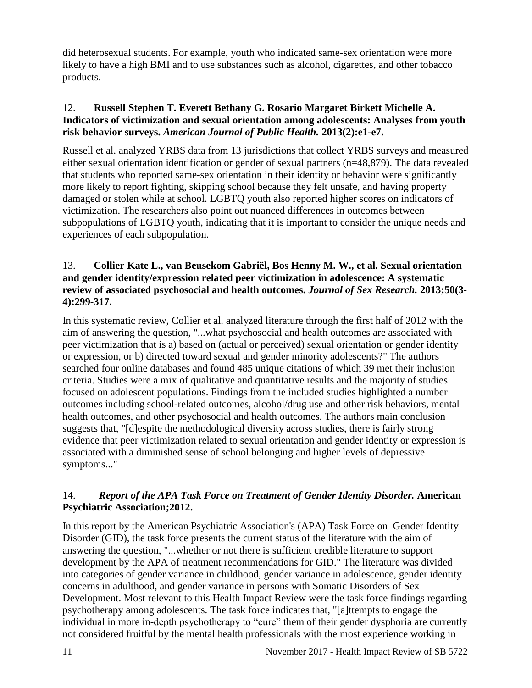did heterosexual students. For example, youth who indicated same-sex orientation were more likely to have a high BMI and to use substances such as alcohol, cigarettes, and other tobacco products.

#### 12. **Russell Stephen T. Everett Bethany G. Rosario Margaret Birkett Michelle A. Indicators of victimization and sexual orientation among adolescents: Analyses from youth risk behavior surveys.** *American Journal of Public Health.* **2013(2):e1-e7.**

Russell et al. analyzed YRBS data from 13 jurisdictions that collect YRBS surveys and measured either sexual orientation identification or gender of sexual partners (n=48,879). The data revealed that students who reported same-sex orientation in their identity or behavior were significantly more likely to report fighting, skipping school because they felt unsafe, and having property damaged or stolen while at school. LGBTQ youth also reported higher scores on indicators of victimization. The researchers also point out nuanced differences in outcomes between subpopulations of LGBTQ youth, indicating that it is important to consider the unique needs and experiences of each subpopulation.

#### <span id="page-12-1"></span>13. **Collier Kate L., van Beusekom Gabriël, Bos Henny M. W., et al. Sexual orientation and gender identity/expression related peer victimization in adolescence: A systematic review of associated psychosocial and health outcomes.** *Journal of Sex Research.* **2013;50(3- 4):299-317.**

In this systematic review, Collier et al. analyzed literature through the first half of 2012 with the aim of answering the question, "...what psychosocial and health outcomes are associated with peer victimization that is a) based on (actual or perceived) sexual orientation or gender identity or expression, or b) directed toward sexual and gender minority adolescents?" The authors searched four online databases and found 485 unique citations of which 39 met their inclusion criteria. Studies were a mix of qualitative and quantitative results and the majority of studies focused on adolescent populations. Findings from the included studies highlighted a number outcomes including school-related outcomes, alcohol/drug use and other risk behaviors, mental health outcomes, and other psychosocial and health outcomes. The authors main conclusion suggests that, "[d]espite the methodological diversity across studies, there is fairly strong evidence that peer victimization related to sexual orientation and gender identity or expression is associated with a diminished sense of school belonging and higher levels of depressive symptoms..."

## <span id="page-12-0"></span>14.*Report of the APA Task Force on Treatment of Gender Identity Disorder.* **American Psychiatric Association;2012.**

In this report by the American Psychiatric Association's (APA) Task Force on Gender Identity Disorder (GID), the task force presents the current status of the literature with the aim of answering the question, "...whether or not there is sufficient credible literature to support development by the APA of treatment recommendations for GID." The literature was divided into categories of gender variance in childhood, gender variance in adolescence, gender identity concerns in adulthood, and gender variance in persons with Somatic Disorders of Sex Development. Most relevant to this Health Impact Review were the task force findings regarding psychotherapy among adolescents. The task force indicates that, "[a]ttempts to engage the individual in more in-depth psychotherapy to "cure" them of their gender dysphoria are currently not considered fruitful by the mental health professionals with the most experience working in